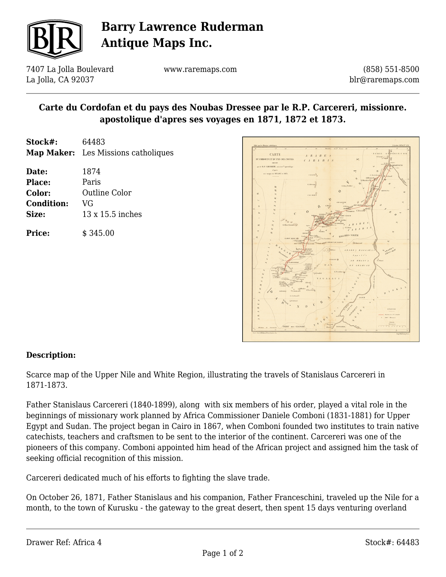

# **Barry Lawrence Ruderman Antique Maps Inc.**

7407 La Jolla Boulevard La Jolla, CA 92037

www.raremaps.com

(858) 551-8500 blr@raremaps.com

### **Carte du Cordofan et du pays des Noubas Dressee par le R.P. Carcereri, missionre. apostolique d'apres ses voyages en 1871, 1872 et 1873.**

| <b>Map Maker:</b> Les Missions catholiques |
|--------------------------------------------|
|                                            |
|                                            |
|                                            |
|                                            |
|                                            |
|                                            |
|                                            |



#### **Description:**

Scarce map of the Upper Nile and White Region, illustrating the travels of Stanislaus Carcereri in 1871-1873.

Father Stanislaus Carcereri (1840-1899), along with six members of his order, played a vital role in the beginnings of missionary work planned by Africa Commissioner Daniele Comboni (1831-1881) for Upper Egypt and Sudan. The project began in Cairo in 1867, when Comboni founded two institutes to train native catechists, teachers and craftsmen to be sent to the interior of the continent. Carcereri was one of the pioneers of this company. Comboni appointed him head of the African project and assigned him the task of seeking official recognition of this mission.

Carcereri dedicated much of his efforts to fighting the slave trade.

On October 26, 1871, Father Stanislaus and his companion, Father Franceschini, traveled up the Nile for a month, to the town of Kurusku - the gateway to the great desert, then spent 15 days venturing overland